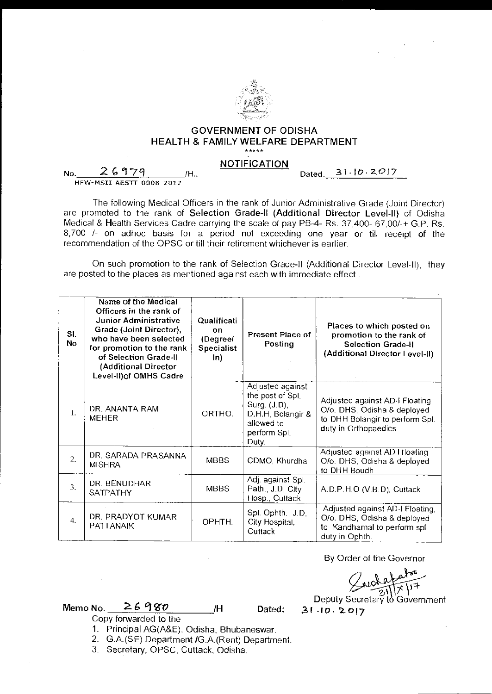

## GOVERNMENT OF ODISHA HEALTH & FAMILY WELFARE DEPARTMENT

## NOTIFICATION

No.  $26979$  /H. HFW- MSII-AESTT-0008-2017

Dated. 31-10-2017

The following Medical Officers in the rank of Junior Administrative Grade (Joint Director) are promoted to the rank of Selection Grade-II (Additional Director Level-II) of Odisha Medical & Health Services Cadre carrying the scale of pay PB-4- Rs. 37,400- 67,00/-+ G.P. Rs. 8,700 /- on adhoc basis for a period not exceeding one year or till receipt of the recommendation of the OPSC or till their retirement whichever is earlier.

On such promotion to the rank of Selection Grade-II (Additional Director Level-II), they are posted to the places as mentioned against each with immediate effect .

| SI.<br><b>No</b> | Name of the Medical<br>Officers in the rank of<br><b>Junior Administrative</b><br>Grade (Joint Director),<br>who have been selected<br>for promotion to the rank<br>of Selection Grade-II<br>(Additional Director<br>Level-II) of OMHS Cadre | Qualificati<br>on<br>(Degree/<br><b>Specialist</b><br>$\ln$ | <b>Present Place of</b><br>Posting                                                                               | Places to which posted on<br>promotion to the rank of<br><b>Selection Grade-II</b><br>(Additional Director Level-II)     |
|------------------|----------------------------------------------------------------------------------------------------------------------------------------------------------------------------------------------------------------------------------------------|-------------------------------------------------------------|------------------------------------------------------------------------------------------------------------------|--------------------------------------------------------------------------------------------------------------------------|
| 1.               | DR. ANANTA RAM<br><b>MEHER</b>                                                                                                                                                                                                               | ORTHO.                                                      | Adjusted against<br>the post of Spl.<br>Surg. (J.D),<br>D.H.H, Bolangir &<br>allowed to<br>perform Spl.<br>Duty. | Adjusted against AD-I Floating<br>O/o. DHS, Odisha & deployed<br>to DHH Bolangir to perform Spl.<br>duty in Orthopaedics |
| $\mathcal{L}$    | DR. SARADA PRASANNA<br><b>MISHRA</b>                                                                                                                                                                                                         | <b>MBBS</b>                                                 | CDMO, Khurdha                                                                                                    | Adjusted against AD I floating<br>O/o. DHS, Odisha & deployed<br>to DHH Boudh                                            |
| 3.               | DR. BENUDHAR<br>SATPATHY                                                                                                                                                                                                                     | <b>MBBS</b>                                                 | Adj. against Spl.<br>Path., J.D, City<br>Hosp., Cuttack                                                          | A.D.P.H.O (V.B.D), Cuttack                                                                                               |
| 4.               | DR. PRADYOT KUMAR<br><b>PATTANAIK</b>                                                                                                                                                                                                        | OPHTH.                                                      | Spl. Ophth., J.D,<br>City Hospital,<br>Cuttack                                                                   | Adjusted against AD-I Floating,<br>O/o. DHS, Odisha & deployed<br>to Kandhamal to perform spl.<br>duty in Ophth.         |

By Order of the Governor

 $\begin{array}{c}\n\bigcup_{\text{subdata} \neq \text{a}} \text{Data} \\
\text{Deputy Secretary to Government} \\
31.10.2017\n\end{array}$ 

Memo No.  $26980$  /H Dated:

Copy forwarded to the

1. Principal AG(A&E), Odisha, Bhubaneswar.

2. G.A.(SE) Department /G.A.(Rent) Department.

3. Secretary, OPSC, Cuttack, Odisha.